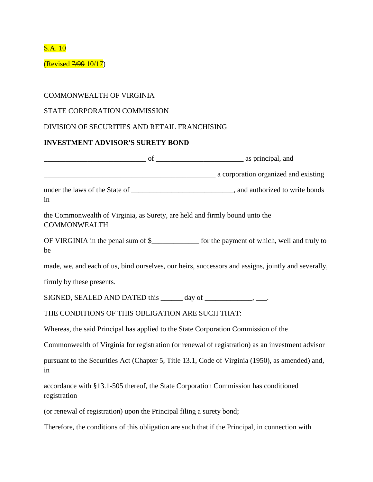S.A. 10

(Revised 7/99 10/17)

## COMMONWEALTH OF VIRGINIA

## STATE CORPORATION COMMISSION

## DIVISION OF SECURITIES AND RETAIL FRANCHISING

## **INVESTMENT ADVISOR'S SURETY BOND**

| as principal, and generalized a principal, and generalized a sprincipal, and                        |                                                                                                     |
|-----------------------------------------------------------------------------------------------------|-----------------------------------------------------------------------------------------------------|
|                                                                                                     | a corporation organized and existing                                                                |
| in                                                                                                  |                                                                                                     |
| the Commonwealth of Virginia, as Surety, are held and firmly bound unto the<br><b>COMMONWEALTH</b>  |                                                                                                     |
| be                                                                                                  | OF VIRGINIA in the penal sum of \$_______________ for the payment of which, well and truly to       |
|                                                                                                     | made, we, and each of us, bind ourselves, our heirs, successors and assigns, jointly and severally, |
| firmly by these presents.                                                                           |                                                                                                     |
|                                                                                                     |                                                                                                     |
| THE CONDITIONS OF THIS OBLIGATION ARE SUCH THAT:                                                    |                                                                                                     |
| Whereas, the said Principal has applied to the State Corporation Commission of the                  |                                                                                                     |
|                                                                                                     | Commonwealth of Virginia for registration (or renewal of registration) as an investment advisor     |
| in                                                                                                  | pursuant to the Securities Act (Chapter 5, Title 13.1, Code of Virginia (1950), as amended) and,    |
| accordance with §13.1-505 thereof, the State Corporation Commission has conditioned<br>registration |                                                                                                     |
| (or renewal of registration) upon the Principal filing a surety bond;                               |                                                                                                     |
| Therefore, the conditions of this obligation are such that if the Principal, in connection with     |                                                                                                     |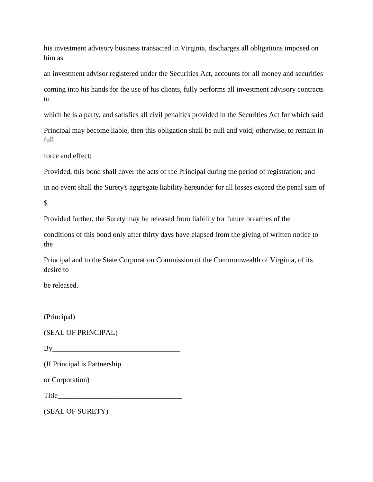his investment advisory business transacted in Virginia, discharges all obligations imposed on him as

an investment advisor registered under the Securities Act, accounts for all money and securities coming into his hands for the use of his clients, fully performs all investment advisory contracts to

which he is a party, and satisfies all civil penalties provided in the Securities Act for which said

Principal may become liable, then this obligation shall be null and void; otherwise, to remain in full

force and effect;

Provided, this bond shall cover the acts of the Principal during the period of registration; and

in no event shall the Surety's aggregate liability hereunder for all losses exceed the penal sum of

 $\mathbb{S}$  .

Provided further, the Surety may be released from liability for future breaches of the

conditions of this bond only after thirty days have elapsed from the giving of written notice to the

Principal and to the State Corporation Commission of the Commonwealth of Virginia, of its desire to

be released.

(Principal)

(SEAL OF PRINCIPAL)

 $Bv$ 

\_\_\_\_\_\_\_\_\_\_\_\_\_\_\_\_\_\_\_\_\_\_\_\_\_\_\_\_\_\_\_\_\_\_\_\_\_

(If Principal is Partnership

or Corporation)

Title

\_\_\_\_\_\_\_\_\_\_\_\_\_\_\_\_\_\_\_\_\_\_\_\_\_\_\_\_\_\_\_\_\_\_\_\_\_\_\_\_\_\_\_\_\_\_\_\_

(SEAL OF SURETY)